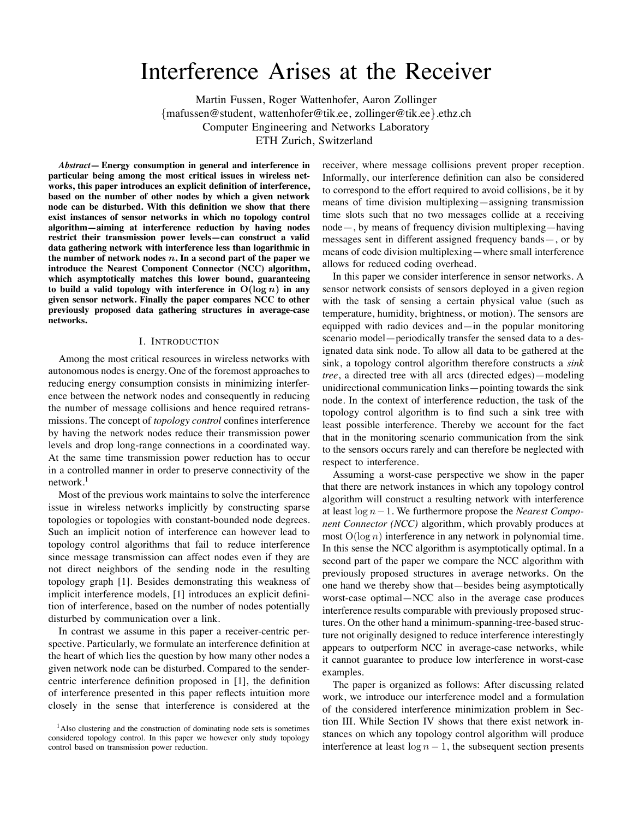# Interference Arises at the Receiver

Martin Fussen, Roger Wattenhofer, Aaron Zollinger {mafussen@student, wattenhofer@tik.ee, zollinger@tik.ee}.ethz.ch Computer Engineering and Networks Laboratory ETH Zurich, Switzerland

*Abstract***— Energy consumption in general and interference in particular being among the most critical issues in wireless networks, this paper introduces an explicit definition of interference, based on the number of other nodes by which a given network node can be disturbed. With this definition we show that there exist instances of sensor networks in which no topology control algorithm—aiming at interference reduction by having nodes restrict their transmission power levels—can construct a valid data gathering network with interference less than logarithmic in the number of network nodes** n**. In a second part of the paper we introduce the Nearest Component Connector (NCC) algorithm, which asymptotically matches this lower bound, guaranteeing to** build a valid topology with interference in  $O(\log n)$  in any **given sensor network. Finally the paper compares NCC to other previously proposed data gathering structures in average-case networks.**

## I. INTRODUCTION

Among the most critical resources in wireless networks with autonomous nodes is energy. One of the foremost approaches to reducing energy consumption consists in minimizing interference between the network nodes and consequently in reducing the number of message collisions and hence required retransmissions. The concept of *topology control* confines interference by having the network nodes reduce their transmission power levels and drop long-range connections in a coordinated way. At the same time transmission power reduction has to occur in a controlled manner in order to preserve connectivity of the  $network.<sup>1</sup>$ 

Most of the previous work maintains to solve the interference issue in wireless networks implicitly by constructing sparse topologies or topologies with constant-bounded node degrees. Such an implicit notion of interference can however lead to topology control algorithms that fail to reduce interference since message transmission can affect nodes even if they are not direct neighbors of the sending node in the resulting topology graph [1]. Besides demonstrating this weakness of implicit interference models, [1] introduces an explicit definition of interference, based on the number of nodes potentially disturbed by communication over a link.

In contrast we assume in this paper a receiver-centric perspective. Particularly, we formulate an interference definition at the heart of which lies the question by how many other nodes a given network node can be disturbed. Compared to the sendercentric interference definition proposed in [1], the definition of interference presented in this paper reflects intuition more closely in the sense that interference is considered at the receiver, where message collisions prevent proper reception. Informally, our interference definition can also be considered to correspond to the effort required to avoid collisions, be it by means of time division multiplexing—assigning transmission time slots such that no two messages collide at a receiving node—, by means of frequency division multiplexing—having messages sent in different assigned frequency bands—, or by means of code division multiplexing—where small interference allows for reduced coding overhead.

In this paper we consider interference in sensor networks. A sensor network consists of sensors deployed in a given region with the task of sensing a certain physical value (such as temperature, humidity, brightness, or motion). The sensors are equipped with radio devices and—in the popular monitoring scenario model—periodically transfer the sensed data to a designated data sink node. To allow all data to be gathered at the sink, a topology control algorithm therefore constructs a *sink tree*, a directed tree with all arcs (directed edges)—modeling unidirectional communication links—pointing towards the sink node. In the context of interference reduction, the task of the topology control algorithm is to find such a sink tree with least possible interference. Thereby we account for the fact that in the monitoring scenario communication from the sink to the sensors occurs rarely and can therefore be neglected with respect to interference.

Assuming a worst-case perspective we show in the paper that there are network instances in which any topology control algorithm will construct a resulting network with interference at least log n−1. We furthermore propose the *Nearest Component Connector (NCC)* algorithm, which provably produces at most  $O(\log n)$  interference in any network in polynomial time. In this sense the NCC algorithm is asymptotically optimal. In a second part of the paper we compare the NCC algorithm with previously proposed structures in average networks. On the one hand we thereby show that—besides being asymptotically worst-case optimal—NCC also in the average case produces interference results comparable with previously proposed structures. On the other hand a minimum-spanning-tree-based structure not originally designed to reduce interference interestingly appears to outperform NCC in average-case networks, while it cannot guarantee to produce low interference in worst-case examples.

The paper is organized as follows: After discussing related work, we introduce our interference model and a formulation of the considered interference minimization problem in Section III. While Section IV shows that there exist network instances on which any topology control algorithm will produce interference at least  $\log n - 1$ , the subsequent section presents

<sup>&</sup>lt;sup>1</sup>Also clustering and the construction of dominating node sets is sometimes considered topology control. In this paper we however only study topology control based on transmission power reduction.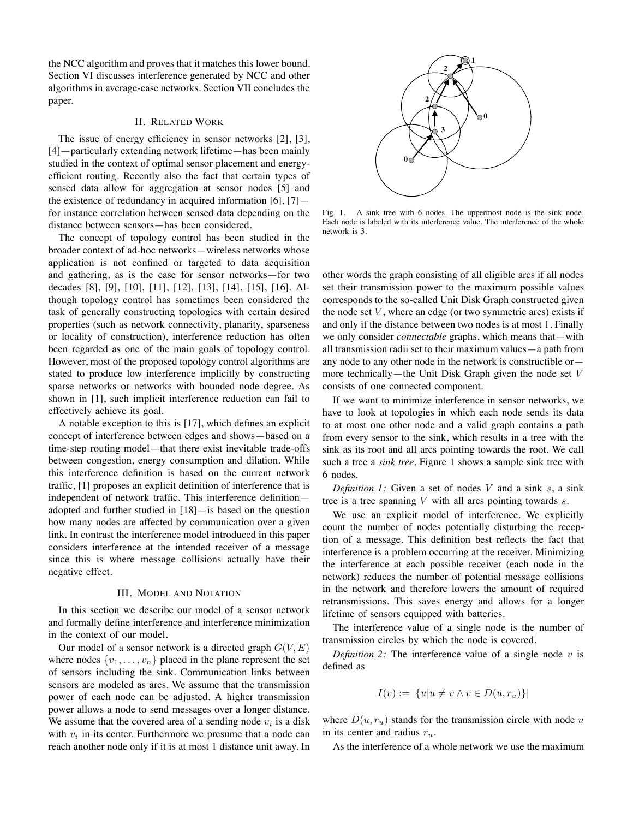the NCC algorithm and proves that it matches this lower bound. Section VI discusses interference generated by NCC and other algorithms in average-case networks. Section VII concludes the paper.

## II. RELATED WORK

The issue of energy efficiency in sensor networks [2], [3], [4]—particularly extending network lifetime—has been mainly studied in the context of optimal sensor placement and energyefficient routing. Recently also the fact that certain types of sensed data allow for aggregation at sensor nodes [5] and the existence of redundancy in acquired information  $[6]$ ,  $[7]$  for instance correlation between sensed data depending on the distance between sensors—has been considered.

The concept of topology control has been studied in the broader context of ad-hoc networks—wireless networks whose application is not confined or targeted to data acquisition and gathering, as is the case for sensor networks—for two decades [8], [9], [10], [11], [12], [13], [14], [15], [16]. Although topology control has sometimes been considered the task of generally constructing topologies with certain desired properties (such as network connectivity, planarity, sparseness or locality of construction), interference reduction has often been regarded as one of the main goals of topology control. However, most of the proposed topology control algorithms are stated to produce low interference implicitly by constructing sparse networks or networks with bounded node degree. As shown in [1], such implicit interference reduction can fail to effectively achieve its goal.

A notable exception to this is [17], which defines an explicit concept of interference between edges and shows—based on a time-step routing model—that there exist inevitable trade-offs between congestion, energy consumption and dilation. While this interference definition is based on the current network traffic, [1] proposes an explicit definition of interference that is independent of network traffic. This interference definition adopted and further studied in [18]—is based on the question how many nodes are affected by communication over a given link. In contrast the interference model introduced in this paper considers interference at the intended receiver of a message since this is where message collisions actually have their negative effect.

#### III. MODEL AND NOTATION

In this section we describe our model of a sensor network and formally define interference and interference minimization in the context of our model.

Our model of a sensor network is a directed graph  $G(V, E)$ where nodes  $\{v_1, \ldots, v_n\}$  placed in the plane represent the set of sensors including the sink. Communication links between sensors are modeled as arcs. We assume that the transmission power of each node can be adjusted. A higher transmission power allows a node to send messages over a longer distance. We assume that the covered area of a sending node  $v_i$  is a disk with  $v_i$  in its center. Furthermore we presume that a node can reach another node only if it is at most 1 distance unit away. In



Fig. 1. A sink tree with 6 nodes. The uppermost node is the sink node. Each node is labeled with its interference value. The interference of the whole network is 3.

other words the graph consisting of all eligible arcs if all nodes set their transmission power to the maximum possible values corresponds to the so-called Unit Disk Graph constructed given the node set  $V$ , where an edge (or two symmetric arcs) exists if and only if the distance between two nodes is at most 1. Finally we only consider *connectable* graphs, which means that—with all transmission radii set to their maximum values—a path from any node to any other node in the network is constructible or more technically—the Unit Disk Graph given the node set  $V$ consists of one connected component.

If we want to minimize interference in sensor networks, we have to look at topologies in which each node sends its data to at most one other node and a valid graph contains a path from every sensor to the sink, which results in a tree with the sink as its root and all arcs pointing towards the root. We call such a tree a *sink tree*. Figure 1 shows a sample sink tree with 6 nodes.

*Definition* 1: Given a set of nodes V and a sink s, a sink tree is a tree spanning  $V$  with all arcs pointing towards  $s$ .

We use an explicit model of interference. We explicitly count the number of nodes potentially disturbing the reception of a message. This definition best reflects the fact that interference is a problem occurring at the receiver. Minimizing the interference at each possible receiver (each node in the network) reduces the number of potential message collisions in the network and therefore lowers the amount of required retransmissions. This saves energy and allows for a longer lifetime of sensors equipped with batteries.

The interference value of a single node is the number of transmission circles by which the node is covered.

*Definition* 2: The interference value of a single node  $v$  is defined as

$$
I(v) := |\{u|u \neq v \land v \in D(u, r_u)\}|
$$

where  $D(u, r_u)$  stands for the transmission circle with node u in its center and radius  $r_u$ .

As the interference of a whole network we use the maximum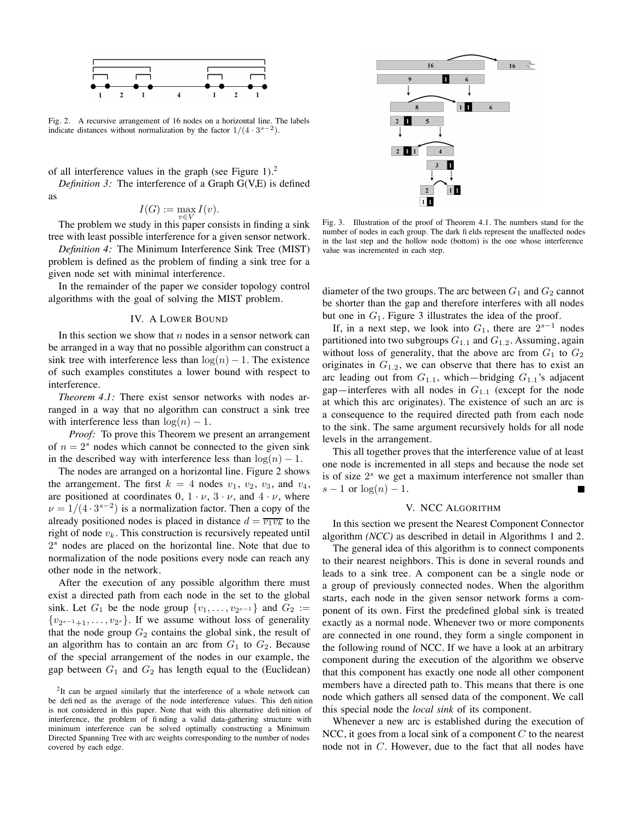

Fig. 2. A recursive arrangement of 16 nodes on a horizontal line. The labels indicate distances without normalization by the factor  $1/(4 \cdot 3^{s-2})$ .

of all interference values in the graph (see Figure 1).<sup>2</sup>

*Definition 3:* The interference of a Graph G(V,E) is defined as

$$
I(G) := \max_{v \in V} I(v).
$$

The problem we study in this paper consists in finding a sink tree with least possible interference for a given sensor network.

*Definition 4:* The Minimum Interference Sink Tree (MIST) problem is defined as the problem of finding a sink tree for a given node set with minimal interference.

In the remainder of the paper we consider topology control algorithms with the goal of solving the MIST problem.

## IV. A LOWER BOUND

In this section we show that  $n$  nodes in a sensor network can be arranged in a way that no possible algorithm can construct a sink tree with interference less than  $log(n) - 1$ . The existence of such examples constitutes a lower bound with respect to interference.

*Theorem 4.1:* There exist sensor networks with nodes arranged in a way that no algorithm can construct a sink tree with interference less than  $log(n) - 1$ .

*Proof:* To prove this Theorem we present an arrangement of  $n = 2<sup>s</sup>$  nodes which cannot be connected to the given sink in the described way with interference less than  $log(n) - 1$ .

The nodes are arranged on a horizontal line. Figure 2 shows the arrangement. The first  $k = 4$  nodes  $v_1$ ,  $v_2$ ,  $v_3$ , and  $v_4$ , are positioned at coordinates  $0, 1 \cdot \nu, 3 \cdot \nu$ , and  $4 \cdot \nu$ , where  $\nu = 1/(4 \cdot 3^{s-2})$  is a normalization factor. Then a copy of the already positioned nodes is placed in distance  $d = \overline{v_1v_k}$  to the right of node  $v_k$ . This construction is recursively repeated until  $2<sup>s</sup>$  nodes are placed on the horizontal line. Note that due to normalization of the node positions every node can reach any other node in the network.

After the execution of any possible algorithm there must exist a directed path from each node in the set to the global sink. Let  $G_1$  be the node group  $\{v_1, \ldots, v_{2^{s-1}}\}$  and  $G_2 :=$  ${v_{2^{s-1}+1}, \ldots, v_{2^s}}$ . If we assume without loss of generality that the node group  $G_2$  contains the global sink, the result of an algorithm has to contain an arc from  $G_1$  to  $G_2$ . Because of the special arrangement of the nodes in our example, the gap between  $G_1$  and  $G_2$  has length equal to the (Euclidean)



Fig. 3. Illustration of the proof of Theorem 4.1. The numbers stand for the number of nodes in each group. The dark fi elds represent the unaffected nodes in the last step and the hollow node (bottom) is the one whose interference value was incremented in each step.

diameter of the two groups. The arc between  $G_1$  and  $G_2$  cannot be shorter than the gap and therefore interferes with all nodes but one in  $G_1$ . Figure 3 illustrates the idea of the proof.

If, in a next step, we look into  $G_1$ , there are  $2^{s-1}$  nodes partitioned into two subgroups  $G_{1,1}$  and  $G_{1,2}$ . Assuming, again without loss of generality, that the above arc from  $G_1$  to  $G_2$ originates in  $G_{1,2}$ , we can observe that there has to exist an arc leading out from  $G_{1,1}$ , which—bridging  $G_{1,1}$ 's adjacent gap—interferes with all nodes in  $G_{1,1}$  (except for the node at which this arc originates). The existence of such an arc is a consequence to the required directed path from each node to the sink. The same argument recursively holds for all node levels in the arrangement.

This all together proves that the interference value of at least one node is incremented in all steps and because the node set is of size  $2<sup>s</sup>$  we get a maximum interference not smaller than  $s-1$  or  $log(n)-1$ .

#### V. NCC ALGORITHM

In this section we present the Nearest Component Connector algorithm *(NCC)* as described in detail in Algorithms 1 and 2.

The general idea of this algorithm is to connect components to their nearest neighbors. This is done in several rounds and leads to a sink tree. A component can be a single node or a group of previously connected nodes. When the algorithm starts, each node in the given sensor network forms a component of its own. First the predefined global sink is treated exactly as a normal node. Whenever two or more components are connected in one round, they form a single component in the following round of NCC. If we have a look at an arbitrary component during the execution of the algorithm we observe that this component has exactly one node all other component members have a directed path to. This means that there is one node which gathers all sensed data of the component. We call this special node the *local sink* of its component.

Whenever a new arc is established during the execution of NCC, it goes from a local sink of a component  $C$  to the nearest node not in C. However, due to the fact that all nodes have

<sup>&</sup>lt;sup>2</sup>It can be argued similarly that the interference of a whole network can be defi ned as the average of the node interference values. This defi nition is not considered in this paper. Note that with this alternative defi nition of interference, the problem of fi nding a valid data-gathering structure with minimum interference can be solved optimally constructing a Minimum Directed Spanning Tree with arc weights corresponding to the number of nodes covered by each edge.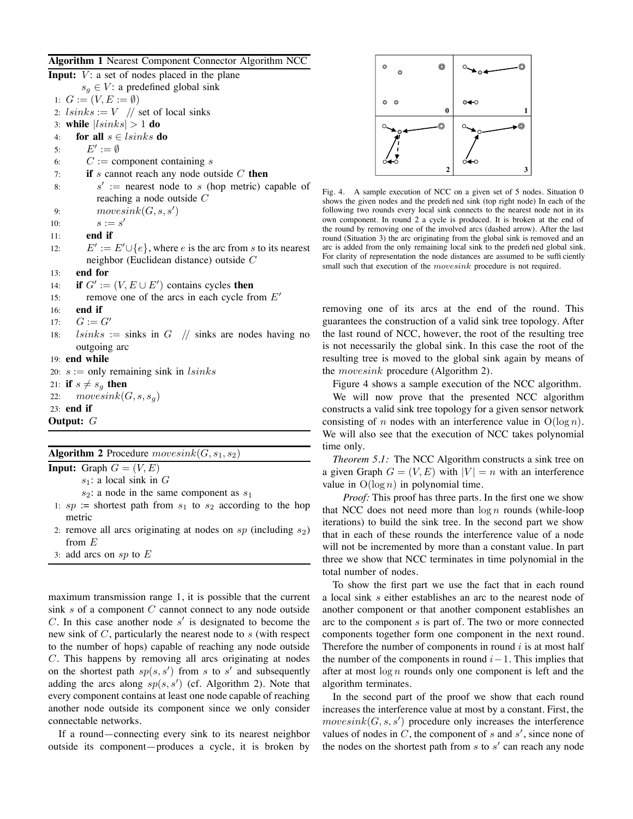#### **Algorithm 1** Nearest Component Connector Algorithm NCC

**Input:**  $V:$  a set of nodes placed in the plane  $s_g \in V$ : a predefined global sink 1:  $G := (V, E := \emptyset)$ 2:  $lsinks := V \quad //$  set of local sinks 3: **while**  $|lsinks| > 1$  **do** 4: **for all**  $s \in \{sinks \textbf{ do}\}$ 5:  $E' := \emptyset$ 6:  $C :=$  component containing s 7: **if** s cannot reach any node outside C **then** 8:  $s' :=$  nearest node to s (hop metric) capable of reaching a node outside C 9:  $movesink(G, s, s')$ 10:  $s := s'$ 11: **end if** 12:  $E' := E' \cup \{e\}$ , where *e* is the arc from *s* to its nearest neighbor (Euclidean distance) outside C 13: **end for** 14: **if**  $G' := (V, E \cup E')$  contains cycles **then** 15: remove one of the arcs in each cycle from  $E'$ 16: **end if** 17:  $G := G'$ 18:  $lsinks := sinks$  in  $G \text{ // sinks}$  are nodes having no outgoing arc 19: **end while** 20:  $s :=$  only remaining sink in  $lsinks$ 21: **if**  $s \neq s_q$  **then** 22:  $movesink(G, s, s_q)$ 23: **end if Output:** G

## **Algorithm 2** Procedure  $movesink(G, s_1, s_2)$

**Input:** Graph  $G = (V, E)$ 

 $s_1$ : a local sink in G

- $s_2$ : a node in the same component as  $s_1$
- 1:  $sp :=$  shortest path from  $s_1$  to  $s_2$  according to the hop metric
- 2: remove all arcs originating at nodes on  $sp$  (including  $s_2$ ) from E
- 3: add arcs on  $sp$  to  $E$

maximum transmission range 1, it is possible that the current sink  $s$  of a component  $C$  cannot connect to any node outside C. In this case another node  $s'$  is designated to become the new sink of  $C$ , particularly the nearest node to  $s$  (with respect to the number of hops) capable of reaching any node outside C. This happens by removing all arcs originating at nodes on the shortest path  $sp(s, s')$  from s to s' and subsequently adding the arcs along  $sp(s, s')$  (cf. Algorithm 2). Note that every component contains at least one node capable of reaching another node outside its component since we only consider connectable networks.

If a round—connecting every sink to its nearest neighbor outside its component—produces a cycle, it is broken by



Fig. 4. A sample execution of NCC on a given set of 5 nodes. Situation 0 shows the given nodes and the predefi ned sink (top right node) In each of the following two rounds every local sink connects to the nearest node not in its own component. In round 2 a cycle is produced. It is broken at the end of the round by removing one of the involved arcs (dashed arrow). After the last round (Situation 3) the arc originating from the global sink is removed and an arc is added from the only remaining local sink to the predefi ned global sink. For clarity of representation the node distances are assumed to be suffi ciently small such that execution of the *movesink* procedure is not required.

removing one of its arcs at the end of the round. This guarantees the construction of a valid sink tree topology. After the last round of NCC, however, the root of the resulting tree is not necessarily the global sink. In this case the root of the resulting tree is moved to the global sink again by means of the movesink procedure (Algorithm 2).

Figure 4 shows a sample execution of the NCC algorithm.

We will now prove that the presented NCC algorithm constructs a valid sink tree topology for a given sensor network consisting of n nodes with an interference value in  $O(\log n)$ . We will also see that the execution of NCC takes polynomial time only.

*Theorem 5.1:* The NCC Algorithm constructs a sink tree on a given Graph  $G = (V, E)$  with  $|V| = n$  with an interference value in  $O(\log n)$  in polynomial time.

*Proof:* This proof has three parts. In the first one we show that NCC does not need more than  $\log n$  rounds (while-loop iterations) to build the sink tree. In the second part we show that in each of these rounds the interference value of a node will not be incremented by more than a constant value. In part three we show that NCC terminates in time polynomial in the total number of nodes.

To show the first part we use the fact that in each round a local sink s either establishes an arc to the nearest node of another component or that another component establishes an arc to the component  $s$  is part of. The two or more connected components together form one component in the next round. Therefore the number of components in round  $i$  is at most half the number of the components in round  $i-1$ . This implies that after at most  $\log n$  rounds only one component is left and the algorithm terminates.

In the second part of the proof we show that each round increases the interference value at most by a constant. First, the  $movesink(G, s, s')$  procedure only increases the interference values of nodes in  $C$ , the component of s and  $s'$ , since none of the nodes on the shortest path from  $s$  to  $s'$  can reach any node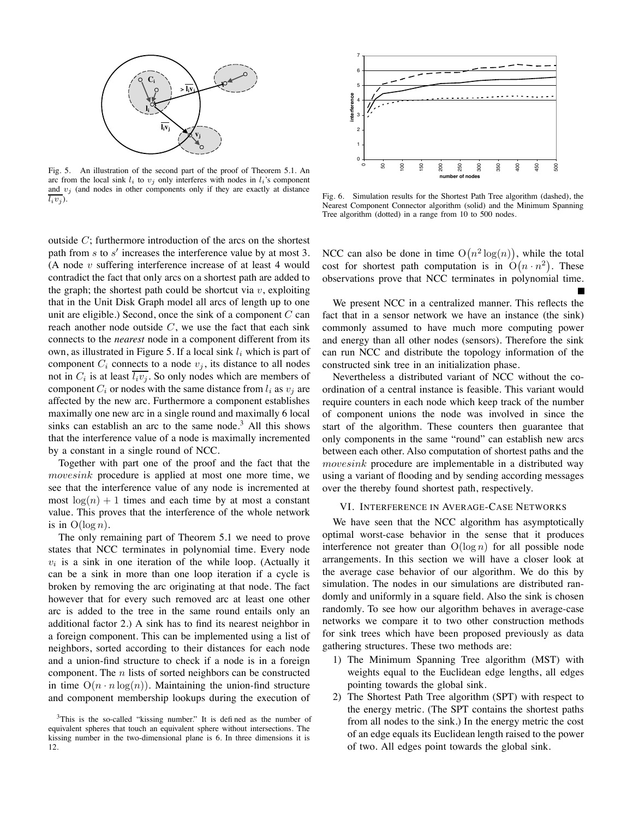

Fig. 5. An illustration of the second part of the proof of Theorem 5.1. An arc from the local sink  $l_i$  to  $v_j$  only interferes with nodes in  $l_i$ 's component and  $v_j$  (and nodes in other components only if they are exactly at distance  $\overline{l_i v_j}$ .

outside C; furthermore introduction of the arcs on the shortest path from s to s' increases the interference value by at most 3. (A node  $v$  suffering interference increase of at least 4 would contradict the fact that only arcs on a shortest path are added to the graph; the shortest path could be shortcut via  $v$ , exploiting that in the Unit Disk Graph model all arcs of length up to one unit are eligible.) Second, once the sink of a component  $C$  can reach another node outside  $C$ , we use the fact that each sink connects to the *nearest* node in a component different from its own, as illustrated in Figure 5. If a local sink  $l_i$  which is part of component  $C_i$  connects to a node  $v_i$ , its distance to all nodes not in  $C_i$  is at least  $\overline{l_i v_j}$ . So only nodes which are members of component  $C_i$  or nodes with the same distance from  $l_i$  as  $v_j$  are affected by the new arc. Furthermore a component establishes maximally one new arc in a single round and maximally 6 local sinks can establish an arc to the same node.<sup>3</sup> All this shows that the interference value of a node is maximally incremented by a constant in a single round of NCC.

Together with part one of the proof and the fact that the movesink procedure is applied at most one more time, we see that the interference value of any node is incremented at most  $log(n) + 1$  times and each time by at most a constant value. This proves that the interference of the whole network is in  $O(\log n)$ .

The only remaining part of Theorem 5.1 we need to prove states that NCC terminates in polynomial time. Every node  $v_i$  is a sink in one iteration of the while loop. (Actually it can be a sink in more than one loop iteration if a cycle is broken by removing the arc originating at that node. The fact however that for every such removed arc at least one other arc is added to the tree in the same round entails only an additional factor 2.) A sink has to find its nearest neighbor in a foreign component. This can be implemented using a list of neighbors, sorted according to their distances for each node and a union-find structure to check if a node is in a foreign component. The  $n$  lists of sorted neighbors can be constructed in time  $O(n \cdot n \log(n))$ . Maintaining the union-find structure and component membership lookups during the execution of



Fig. 6. Simulation results for the Shortest Path Tree algorithm (dashed), the Nearest Component Connector algorithm (solid) and the Minimum Spanning Tree algorithm (dotted) in a range from 10 to 500 nodes.

NCC can also be done in time  $O(n^2 \log(n))$ , while the total cost for shortest path computation is in  $O(n \cdot n^2)$ . These observations prove that NCC terminates in polynomial time.

We present NCC in a centralized manner. This reflects the fact that in a sensor network we have an instance (the sink) commonly assumed to have much more computing power and energy than all other nodes (sensors). Therefore the sink can run NCC and distribute the topology information of the constructed sink tree in an initialization phase.

Nevertheless a distributed variant of NCC without the coordination of a central instance is feasible. This variant would require counters in each node which keep track of the number of component unions the node was involved in since the start of the algorithm. These counters then guarantee that only components in the same "round" can establish new arcs between each other. Also computation of shortest paths and the movesink procedure are implementable in a distributed way using a variant of flooding and by sending according messages over the thereby found shortest path, respectively.

#### VI. INTERFERENCE IN AVERAGE-CASE NETWORKS

We have seen that the NCC algorithm has asymptotically optimal worst-case behavior in the sense that it produces interference not greater than  $O(log n)$  for all possible node arrangements. In this section we will have a closer look at the average case behavior of our algorithm. We do this by simulation. The nodes in our simulations are distributed randomly and uniformly in a square field. Also the sink is chosen randomly. To see how our algorithm behaves in average-case networks we compare it to two other construction methods for sink trees which have been proposed previously as data gathering structures. These two methods are:

- 1) The Minimum Spanning Tree algorithm (MST) with weights equal to the Euclidean edge lengths, all edges pointing towards the global sink.
- 2) The Shortest Path Tree algorithm (SPT) with respect to the energy metric. (The SPT contains the shortest paths from all nodes to the sink.) In the energy metric the cost of an edge equals its Euclidean length raised to the power of two. All edges point towards the global sink.

<sup>&</sup>lt;sup>3</sup>This is the so-called "kissing number." It is defined as the number of equivalent spheres that touch an equivalent sphere without intersections. The kissing number in the two-dimensional plane is 6. In three dimensions it is 12.